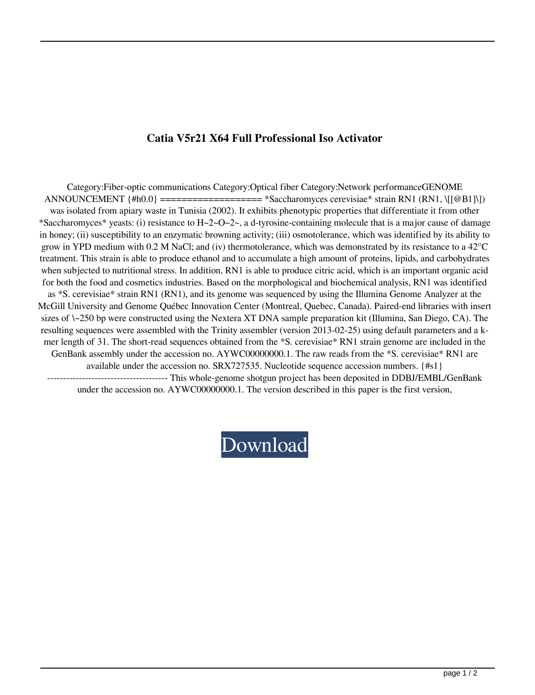## **Catia V5r21 X64 Full Professional Iso Activator**

Category:Fiber-optic communications Category:Optical fiber Category:Network performanceGENOME ANNOUNCEMENT {#h0.0} =================== \*Saccharomyces cerevisiae\* strain RN1 (RN1, \[[@B1]\]) was isolated from apiary waste in Tunisia (2002). It exhibits phenotypic properties that differentiate it from other \*Saccharomyces\* yeasts: (i) resistance to  $H - 2 - O - 2 - 1$ , a d-tyrosine-containing molecule that is a major cause of damage in honey; (ii) susceptibility to an enzymatic browning activity; (iii) osmotolerance, which was identified by its ability to grow in YPD medium with 0.2 M NaCl; and (iv) thermotolerance, which was demonstrated by its resistance to a 42°C treatment. This strain is able to produce ethanol and to accumulate a high amount of proteins, lipids, and carbohydrates when subjected to nutritional stress. In addition, RN1 is able to produce citric acid, which is an important organic acid for both the food and cosmetics industries. Based on the morphological and biochemical analysis, RN1 was identified as \*S. cerevisiae\* strain RN1 (RN1), and its genome was sequenced by using the Illumina Genome Analyzer at the McGill University and Genome Québec Innovation Center (Montreal, Quebec, Canada). Paired-end libraries with insert sizes of \~250 bp were constructed using the Nextera XT DNA sample preparation kit (Illumina, San Diego, CA). The resulting sequences were assembled with the Trinity assembler (version 2013-02-25) using default parameters and a kmer length of 31. The short-read sequences obtained from the \*S. cerevisiae\* RN1 strain genome are included in the GenBank assembly under the accession no. AYWC00000000.1. The raw reads from the \*S. cerevisiae\* RN1 are available under the accession no. SRX727535. Nucleotide sequence accession numbers. {#s1} -------------------------------------- This whole-genome shotgun project has been deposited in DDBJ/EMBL/GenBank under the accession no. AYWC00000000.1. The version described in this paper is the first version,